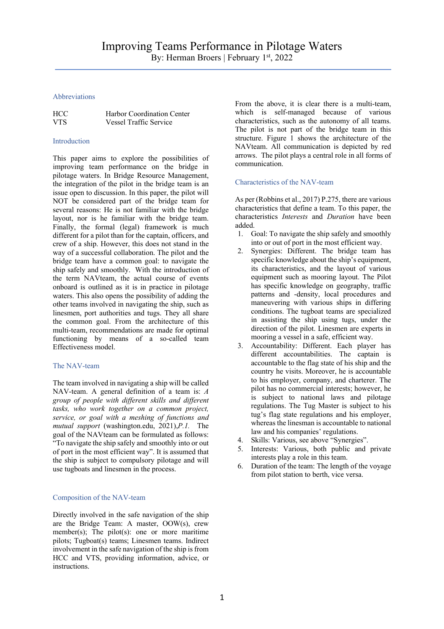## Abbreviations

| <b>HCC</b> | Harbor Coordination Center    |
|------------|-------------------------------|
| VTS.       | <b>Vessel Traffic Service</b> |

### Introduction

This paper aims to explore the possibilities of improving team performance on the bridge in pilotage waters. In Bridge Resource Management, the integration of the pilot in the bridge team is an issue open to discussion. In this paper, the pilot will NOT be considered part of the bridge team for several reasons: He is not familiar with the bridge layout, nor is he familiar with the bridge team. Finally, the formal (legal) framework is much different for a pilot than for the captain, officers, and crew of a ship. However, this does not stand in the way of a successful collaboration. The pilot and the bridge team have a common goal: to navigate the ship safely and smoothly. With the introduction of the term NAVteam, the actual course of events onboard is outlined as it is in practice in pilotage waters. This also opens the possibility of adding the other teams involved in navigating the ship, such as linesmen, port authorities and tugs. They all share the common goal. From the architecture of this multi-team, recommendations are made for optimal functioning by means of a so-called team Effectiveness model.

## The NAV-team

The team involved in navigating a ship will be called NAV-team. A general definition of a team is: *A group of people with different skills and different tasks, who work together on a common project, service, or goal with a meshing of functions and mutual support* (washington.edu, 2021),*P.1.* The goal of the NAVteam can be formulated as follows: "To navigate the ship safely and smoothly into or out of port in the most efficient way". It is assumed that the ship is subject to compulsory pilotage and will use tugboats and linesmen in the process.

## Composition of the NAV-team

Directly involved in the safe navigation of the ship are the Bridge Team: A master, OOW(s), crew member(s); The pilot(s): one or more maritime pilots; Tugboat(s) teams; Linesmen teams. Indirect involvement in the safe navigation of the ship is from HCC and VTS, providing information, advice, or instructions.

From the above, it is clear there is a multi-team, which is self-managed because of various characteristics, such as the autonomy of all teams. The pilot is not part of the bridge team in this structure. Figure 1 shows the architecture of the NAVteam. All communication is depicted by red arrows. The pilot plays a central role in all forms of communication.

## Characteristics of the NAV-team

As per (Robbins et al., 2017) P.275, there are various characteristics that define a team. To this paper, the characteristics *Interests* and *Duration* have been added.

- 1. Goal: To navigate the ship safely and smoothly into or out of port in the most efficient way.
- 2. Synergies: Different. The bridge team has specific knowledge about the ship's equipment, its characteristics, and the layout of various equipment such as mooring layout. The Pilot has specific knowledge on geography, traffic patterns and -density, local procedures and maneuvering with various ships in differing conditions. The tugboat teams are specialized in assisting the ship using tugs, under the direction of the pilot. Linesmen are experts in mooring a vessel in a safe, efficient way.
- 3. Accountability: Different. Each player has different accountabilities. The captain is accountable to the flag state of his ship and the country he visits. Moreover, he is accountable to his employer, company, and charterer. The pilot has no commercial interests; however, he is subject to national laws and pilotage regulations. The Tug Master is subject to his tug's flag state regulations and his employer, whereas the linesman is accountable to national law and his companies' regulations.
- 4. Skills: Various, see above "Synergies".
- 5. Interests: Various, both public and private interests play a role in this team.
- 6. Duration of the team: The length of the voyage from pilot station to berth, vice versa.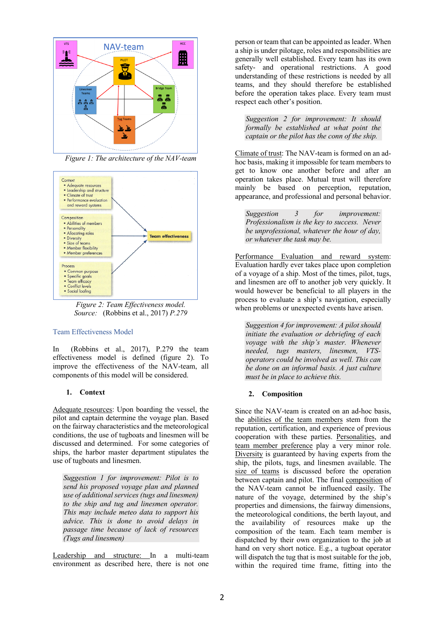

*Figure 1: The architecture of the NAV-team*



*Figure 2: Team Effectiveness model. Source:* (Robbins et al., 2017) *P.279*

#### Team Effectiveness Model

In (Robbins et al., 2017), P.279 the team effectiveness model is defined (figure 2). To improve the effectiveness of the NAV-team, all components of this model will be considered.

### **1. Context**

Adequate resources: Upon boarding the vessel, the pilot and captain determine the voyage plan. Based on the fairway characteristics and the meteorological conditions, the use of tugboats and linesmen will be discussed and determined. For some categories of ships, the harbor master department stipulates the use of tugboats and linesmen.

*Suggestion 1 for improvement: Pilot is to send his proposed voyage plan and planned use of additional services (tugs and linesmen) to the ship and tug and linesmen operator. This may include meteo data to support his advice. This is done to avoid delays in passage time because of lack of resources (Tugs and linesmen)*

Leadership and structure: In a multi-team environment as described here, there is not one

person or team that can be appointed as leader. When a ship is under pilotage, roles and responsibilities are generally well established. Every team has its own safety- and operational restrictions. A good understanding of these restrictions is needed by all teams, and they should therefore be established before the operation takes place. Every team must respect each other's position.

*Suggestion 2 for improvement: It should formally be established at what point the captain or the pilot has the conn of the ship.*

Climate of trust: The NAV-team is formed on an adhoc basis, making it impossible for team members to get to know one another before and after an operation takes place. Mutual trust will therefore mainly be based on perception, reputation, appearance, and professional and personal behavior.

*Suggestion 3 for improvement: Professionalism is the key to success. Never be unprofessional, whatever the hour of day, or whatever the task may be.*

Performance Evaluation and reward system: Evaluation hardly ever takes place upon completion of a voyage of a ship. Most of the times, pilot, tugs, and linesmen are off to another job very quickly. It would however be beneficial to all players in the process to evaluate a ship's navigation, especially when problems or unexpected events have arisen.

*Suggestion 4 for improvement: A pilot should initiate the evaluation or debriefing of each voyage with the ship's master. Whenever needed, tugs masters, linesmen, VTSoperators could be involved as well. This can be done on an informal basis. A just culture must be in place to achieve this.* 

## **2. Composition**

Since the NAV-team is created on an ad-hoc basis, the abilities of the team members stem from the reputation, certification, and experience of previous cooperation with these parties. Personalities, and team member preference play a very minor role. Diversity is guaranteed by having experts from the ship, the pilots, tugs, and linesmen available. The size of teams is discussed before the operation between captain and pilot. The final composition of the NAV-team cannot be influenced easily. The nature of the voyage, determined by the ship's properties and dimensions, the fairway dimensions, the meteorological conditions, the berth layout, and the availability of resources make up the composition of the team. Each team member is dispatched by their own organization to the job at hand on very short notice. E.g., a tugboat operator will dispatch the tug that is most suitable for the job, within the required time frame, fitting into the